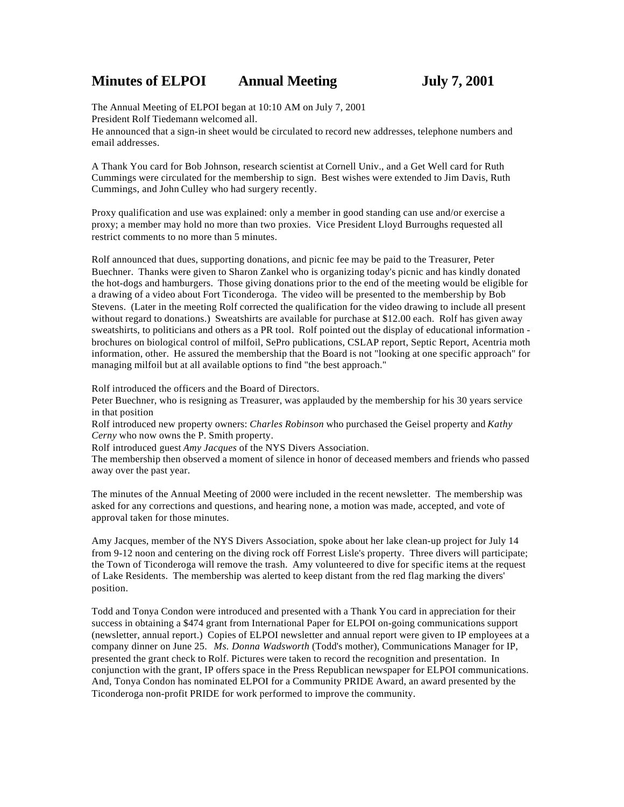# **Minutes of ELPOI Annual Meeting July 7, 2001**

The Annual Meeting of ELPOI began at 10:10 AM on July 7, 2001 President Rolf Tiedemann welcomed all.

He announced that a sign-in sheet would be circulated to record new addresses, telephone numbers and email addresses.

A Thank You card for Bob Johnson, research scientist at Cornell Univ., and a Get Well card for Ruth Cummings were circulated for the membership to sign. Best wishes were extended to Jim Davis, Ruth Cummings, and John Culley who had surgery recently.

Proxy qualification and use was explained: only a member in good standing can use and/or exercise a proxy; a member may hold no more than two proxies. Vice President Lloyd Burroughs requested all restrict comments to no more than 5 minutes.

Rolf announced that dues, supporting donations, and picnic fee may be paid to the Treasurer, Peter Buechner. Thanks were given to Sharon Zankel who is organizing today's picnic and has kindly donated the hot-dogs and hamburgers. Those giving donations prior to the end of the meeting would be eligible for a drawing of a video about Fort Ticonderoga. The video will be presented to the membership by Bob Stevens. (Later in the meeting Rolf corrected the qualification for the video drawing to include all present without regard to donations.) Sweatshirts are available for purchase at \$12.00 each. Rolf has given away sweatshirts, to politicians and others as a PR tool. Rolf pointed out the display of educational information brochures on biological control of milfoil, SePro publications, CSLAP report, Septic Report, Acentria moth information, other. He assured the membership that the Board is not "looking at one specific approach" for managing milfoil but at all available options to find "the best approach."

Rolf introduced the officers and the Board of Directors.

Peter Buechner, who is resigning as Treasurer, was applauded by the membership for his 30 years service in that position

Rolf introduced new property owners: *Charles Robinson* who purchased the Geisel property and *Kathy Cerny* who now owns the P. Smith property.

Rolf introduced guest *Amy Jacques* of the NYS Divers Association.

The membership then observed a moment of silence in honor of deceased members and friends who passed away over the past year.

The minutes of the Annual Meeting of 2000 were included in the recent newsletter. The membership was asked for any corrections and questions, and hearing none, a motion was made, accepted, and vote of approval taken for those minutes.

Amy Jacques, member of the NYS Divers Association, spoke about her lake clean-up project for July 14 from 9-12 noon and centering on the diving rock off Forrest Lisle's property. Three divers will participate; the Town of Ticonderoga will remove the trash. Amy volunteered to dive for specific items at the request of Lake Residents. The membership was alerted to keep distant from the red flag marking the divers' position.

Todd and Tonya Condon were introduced and presented with a Thank You card in appreciation for their success in obtaining a \$474 grant from International Paper for ELPOI on-going communications support (newsletter, annual report.) Copies of ELPOI newsletter and annual report were given to IP employees at a company dinner on June 25. *Ms. Donna Wadsworth* (Todd's mother), Communications Manager for IP, presented the grant check to Rolf. Pictures were taken to record the recognition and presentation. In conjunction with the grant, IP offers space in the Press Republican newspaper for ELPOI communications. And, Tonya Condon has nominated ELPOI for a Community PRIDE Award, an award presented by the Ticonderoga non-profit PRIDE for work performed to improve the community.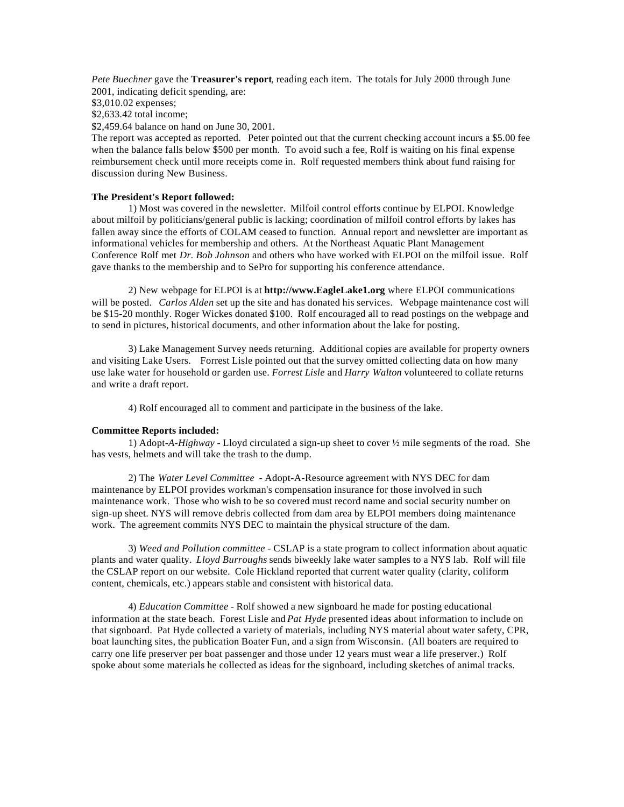*Pete Buechner* gave the **Treasurer's report**, reading each item. The totals for July 2000 through June 2001, indicating deficit spending, are:

\$3,010.02 expenses;

\$2,633.42 total income;

\$2,459.64 balance on hand on June 30, 2001.

The report was accepted as reported. Peter pointed out that the current checking account incurs a \$5.00 fee when the balance falls below \$500 per month. To avoid such a fee, Rolf is waiting on his final expense reimbursement check until more receipts come in. Rolf requested members think about fund raising for discussion during New Business.

# **The President's Report followed:**

1) Most was covered in the newsletter. Milfoil control efforts continue by ELPOI. Knowledge about milfoil by politicians/general public is lacking; coordination of milfoil control efforts by lakes has fallen away since the efforts of COLAM ceased to function. Annual report and newsletter are important as informational vehicles for membership and others. At the Northeast Aquatic Plant Management Conference Rolf met *Dr. Bob Johnson* and others who have worked with ELPOI on the milfoil issue. Rolf gave thanks to the membership and to SePro for supporting his conference attendance.

2) New webpage for ELPOI is at **http://www.EagleLake1.org** where ELPOI communications will be posted. *Carlos Alden* set up the site and has donated his services. Webpage maintenance cost will be \$15-20 monthly. Roger Wickes donated \$100. Rolf encouraged all to read postings on the webpage and to send in pictures, historical documents, and other information about the lake for posting.

3) Lake Management Survey needs returning. Additional copies are available for property owners and visiting Lake Users. Forrest Lisle pointed out that the survey omitted collecting data on how many use lake water for household or garden use. *Forrest Lisle* and *Harry Walton* volunteered to collate returns and write a draft report.

4) Rolf encouraged all to comment and participate in the business of the lake.

## **Committee Reports included:**

1) Adopt*-A-Highway* - Lloyd circulated a sign-up sheet to cover ½ mile segments of the road. She has vests, helmets and will take the trash to the dump.

2) The *Water Level Committee* - Adopt-A-Resource agreement with NYS DEC for dam maintenance by ELPOI provides workman's compensation insurance for those involved in such maintenance work. Those who wish to be so covered must record name and social security number on sign-up sheet. NYS will remove debris collected from dam area by ELPOI members doing maintenance work. The agreement commits NYS DEC to maintain the physical structure of the dam.

3) *Weed and Pollution committee* - CSLAP is a state program to collect information about aquatic plants and water quality. *Lloyd Burroughs* sends biweekly lake water samples to a NYS lab. Rolf will file the CSLAP report on our website. Cole Hickland reported that current water quality (clarity, coliform content, chemicals, etc.) appears stable and consistent with historical data.

4) *Education Committee* - Rolf showed a new signboard he made for posting educational information at the state beach. Forest Lisle and *Pat Hyde* presented ideas about information to include on that signboard. Pat Hyde collected a variety of materials, including NYS material about water safety, CPR, boat launching sites, the publication Boater Fun, and a sign from Wisconsin. (All boaters are required to carry one life preserver per boat passenger and those under 12 years must wear a life preserver.) Rolf spoke about some materials he collected as ideas for the signboard, including sketches of animal tracks.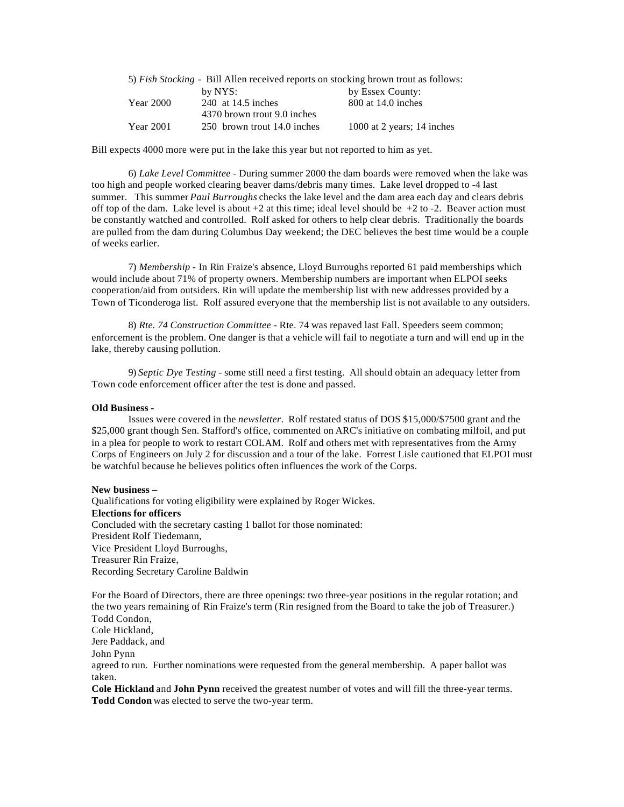| 5) Fish Stocking - Bill Allen received reports on stocking brown trout as follows: |                             |                            |
|------------------------------------------------------------------------------------|-----------------------------|----------------------------|
|                                                                                    | by NYS:                     | by Essex County:           |
| <b>Year 2000</b>                                                                   | 240 at 14.5 inches          | 800 at 14.0 inches         |
|                                                                                    | 4370 brown trout 9.0 inches |                            |
| <b>Year 2001</b>                                                                   | 250 brown trout 14.0 inches | 1000 at 2 years; 14 inches |

Bill expects 4000 more were put in the lake this year but not reported to him as yet.

6) *Lake Level Committee* - During summer 2000 the dam boards were removed when the lake was too high and people worked clearing beaver dams/debris many times. Lake level dropped to -4 last summer. This summer *Paul Burroughs* checks the lake level and the dam area each day and clears debris off top of the dam. Lake level is about  $+2$  at this time; ideal level should be  $+2$  to  $-2$ . Beaver action must be constantly watched and controlled. Rolf asked for others to help clear debris. Traditionally the boards are pulled from the dam during Columbus Day weekend; the DEC believes the best time would be a couple of weeks earlier.

7) *Membership* - In Rin Fraize's absence, Lloyd Burroughs reported 61 paid memberships which would include about 71% of property owners. Membership numbers are important when ELPOI seeks cooperation/aid from outsiders. Rin will update the membership list with new addresses provided by a Town of Ticonderoga list. Rolf assured everyone that the membership list is not available to any outsiders.

8) *Rte. 74 Construction Committee* - Rte. 74 was repaved last Fall. Speeders seem common; enforcement is the problem. One danger is that a vehicle will fail to negotiate a turn and will end up in the lake, thereby causing pollution.

9) *Septic Dye Testing* - some still need a first testing. All should obtain an adequacy letter from Town code enforcement officer after the test is done and passed.

## **Old Business -**

Issues were covered in the *newsletter*. Rolf restated status of DOS \$15,000/\$7500 grant and the \$25,000 grant though Sen. Stafford's office, commented on ARC's initiative on combating milfoil, and put in a plea for people to work to restart COLAM. Rolf and others met with representatives from the Army Corps of Engineers on July 2 for discussion and a tour of the lake. Forrest Lisle cautioned that ELPOI must be watchful because he believes politics often influences the work of the Corps.

#### **New business –**

Qualifications for voting eligibility were explained by Roger Wickes. **Elections for officers** Concluded with the secretary casting 1 ballot for those nominated: President Rolf Tiedemann, Vice President Lloyd Burroughs, Treasurer Rin Fraize, Recording Secretary Caroline Baldwin

For the Board of Directors, there are three openings: two three-year positions in the regular rotation; and the two years remaining of Rin Fraize's term (Rin resigned from the Board to take the job of Treasurer.) Todd Condon,

Cole Hickland,

Jere Paddack, and

John Pynn

agreed to run. Further nominations were requested from the general membership. A paper ballot was taken.

**Cole Hickland** and **John Pynn** received the greatest number of votes and will fill the three-year terms. **Todd Condon** was elected to serve the two-year term.